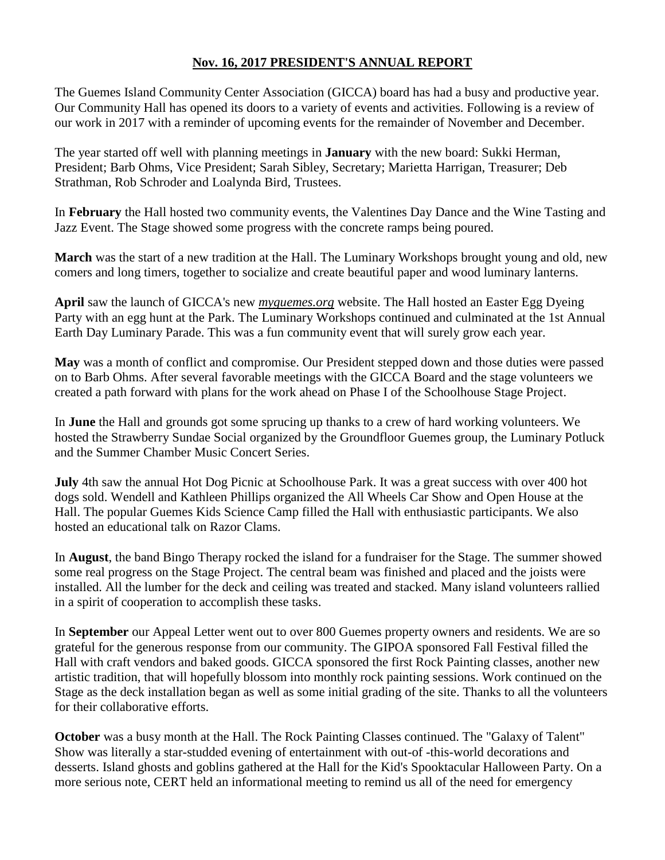## **Nov. 16, 2017 PRESIDENT'S ANNUAL REPORT**

The Guemes Island Community Center Association (GICCA) board has had a busy and productive year. Our Community Hall has opened its doors to a variety of events and activities. Following is a review of our work in 2017 with a reminder of upcoming events for the remainder of November and December.

The year started off well with planning meetings in **January** with the new board: Sukki Herman, President; Barb Ohms, Vice President; Sarah Sibley, Secretary; Marietta Harrigan, Treasurer; Deb Strathman, Rob Schroder and Loalynda Bird, Trustees.

In **February** the Hall hosted two community events, the Valentines Day Dance and the Wine Tasting and Jazz Event. The Stage showed some progress with the concrete ramps being poured.

**March** was the start of a new tradition at the Hall. The Luminary Workshops brought young and old, new comers and long timers, together to socialize and create beautiful paper and wood luminary lanterns.

**April** saw the launch of GICCA's new *myguemes.org* website. The Hall hosted an Easter Egg Dyeing Party with an egg hunt at the Park. The Luminary Workshops continued and culminated at the 1st Annual Earth Day Luminary Parade. This was a fun community event that will surely grow each year.

**May** was a month of conflict and compromise. Our President stepped down and those duties were passed on to Barb Ohms. After several favorable meetings with the GICCA Board and the stage volunteers we created a path forward with plans for the work ahead on Phase I of the Schoolhouse Stage Project.

In **June** the Hall and grounds got some sprucing up thanks to a crew of hard working volunteers. We hosted the Strawberry Sundae Social organized by the Groundfloor Guemes group, the Luminary Potluck and the Summer Chamber Music Concert Series.

**July** 4th saw the annual Hot Dog Picnic at Schoolhouse Park. It was a great success with over 400 hot dogs sold. Wendell and Kathleen Phillips organized the All Wheels Car Show and Open House at the Hall. The popular Guemes Kids Science Camp filled the Hall with enthusiastic participants. We also hosted an educational talk on Razor Clams.

In **August**, the band Bingo Therapy rocked the island for a fundraiser for the Stage. The summer showed some real progress on the Stage Project. The central beam was finished and placed and the joists were installed. All the lumber for the deck and ceiling was treated and stacked. Many island volunteers rallied in a spirit of cooperation to accomplish these tasks.

In **September** our Appeal Letter went out to over 800 Guemes property owners and residents. We are so grateful for the generous response from our community. The GIPOA sponsored Fall Festival filled the Hall with craft vendors and baked goods. GICCA sponsored the first Rock Painting classes, another new artistic tradition, that will hopefully blossom into monthly rock painting sessions. Work continued on the Stage as the deck installation began as well as some initial grading of the site. Thanks to all the volunteers for their collaborative efforts.

**October** was a busy month at the Hall. The Rock Painting Classes continued. The "Galaxy of Talent" Show was literally a star-studded evening of entertainment with out-of -this-world decorations and desserts. Island ghosts and goblins gathered at the Hall for the Kid's Spooktacular Halloween Party. On a more serious note, CERT held an informational meeting to remind us all of the need for emergency